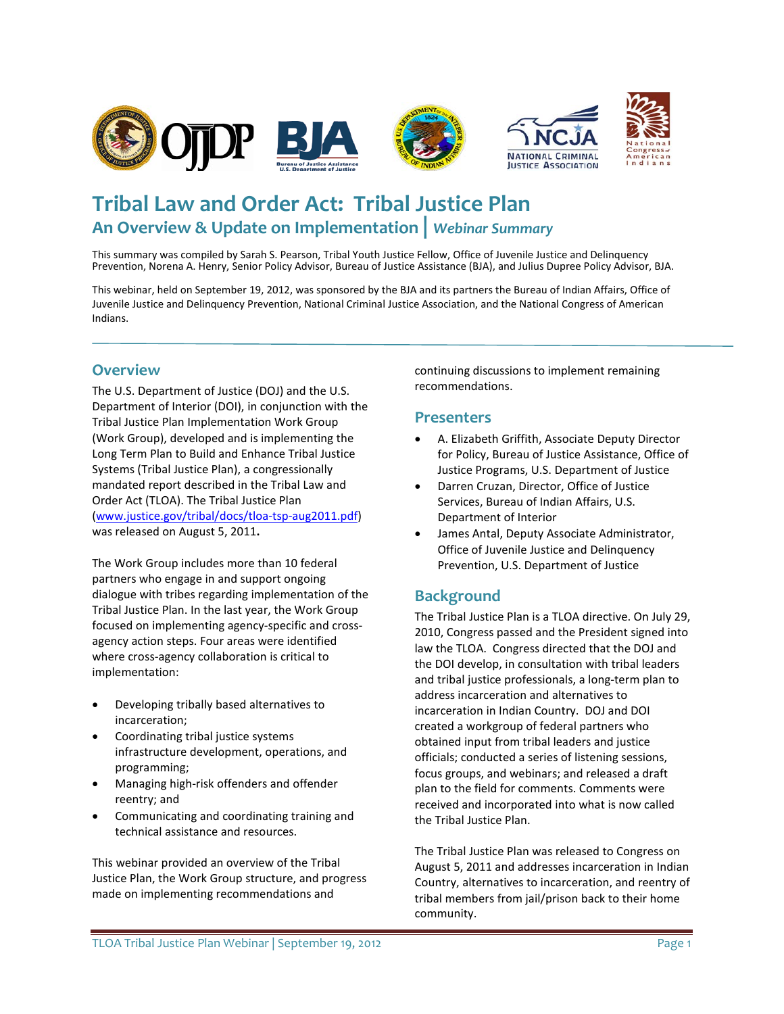

# **Tribal Law and Order Act: Tribal Justice Plan An Overview & Update on Implementation |** *Webinar Summary*

This summary was compiled by Sarah S. Pearson, Tribal Youth Justice Fellow, Office of Juvenile Justice and Delinquency Prevention, Norena A. Henry, Senior Policy Advisor, Bureau of Justice Assistance (BJA), and Julius Dupree Policy Advisor, BJA.

This webinar, held on September 19, 2012, was sponsored by the BJA and its partners the Bureau of Indian Affairs, Office of Juvenile Justice and Delinquency Prevention, National Criminal Justice Association, and the National Congress of American Indians.

### **Overview**

The U.S. Department of Justice (DOJ) and the U.S. Department of Interior (DOI), in conjunction with the Tribal Justice Plan Implementation Work Group (Work Group), developed and is implementing the Long Term Plan to Build and Enhance Tribal Justice Systems (Tribal Justice Plan), a congressionally mandated report described in the Tribal Law and Order Act (TLOA). The Tribal Justice Plan [\(www.justice.gov/tribal/docs/tloa-tsp-aug2011.pdf\)](http://www.justice.gov/tribal/docs/tloa-tsp-aug2011.pdf) was released on August 5, 2011**.**

The Work Group includes more than 10 federal partners who engage in and support ongoing dialogue with tribes regarding implementation of the Tribal Justice Plan. In the last year, the Work Group focused on implementing agency-specific and crossagency action steps. Four areas were identified where cross-agency collaboration is critical to implementation:

- Developing tribally based alternatives to incarceration;
- Coordinating tribal justice systems infrastructure development, operations, and programming;
- Managing high-risk offenders and offender reentry; and
- Communicating and coordinating training and technical assistance and resources.

This webinar provided an overview of the Tribal Justice Plan, the Work Group structure, and progress made on implementing recommendations and

continuing discussions to implement remaining recommendations.

### **Presenters**

- A. Elizabeth Griffith, Associate Deputy Director for Policy, Bureau of Justice Assistance, Office of Justice Programs, U.S. Department of Justice
- Darren Cruzan, Director, Office of Justice Services, Bureau of Indian Affairs, U.S. Department of Interior
- James Antal, Deputy Associate Administrator, Office of Juvenile Justice and Delinquency Prevention, U.S. Department of Justice

# **Background**

The Tribal Justice Plan is a TLOA directive. On July 29, 2010, Congress passed and the President signed into law the TLOA. Congress directed that the DOJ and the DOI develop, in consultation with tribal leaders and tribal justice professionals, a long-term plan to address incarceration and alternatives to incarceration in Indian Country. DOJ and DOI created a workgroup of federal partners who obtained input from tribal leaders and justice officials; conducted a series of listening sessions, focus groups, and webinars; and released a draft plan to the field for comments. Comments were received and incorporated into what is now called the Tribal Justice Plan.

The Tribal Justice Plan was released to Congress on August 5, 2011 and addresses incarceration in Indian Country, alternatives to incarceration, and reentry of tribal members from jail/prison back to their home community.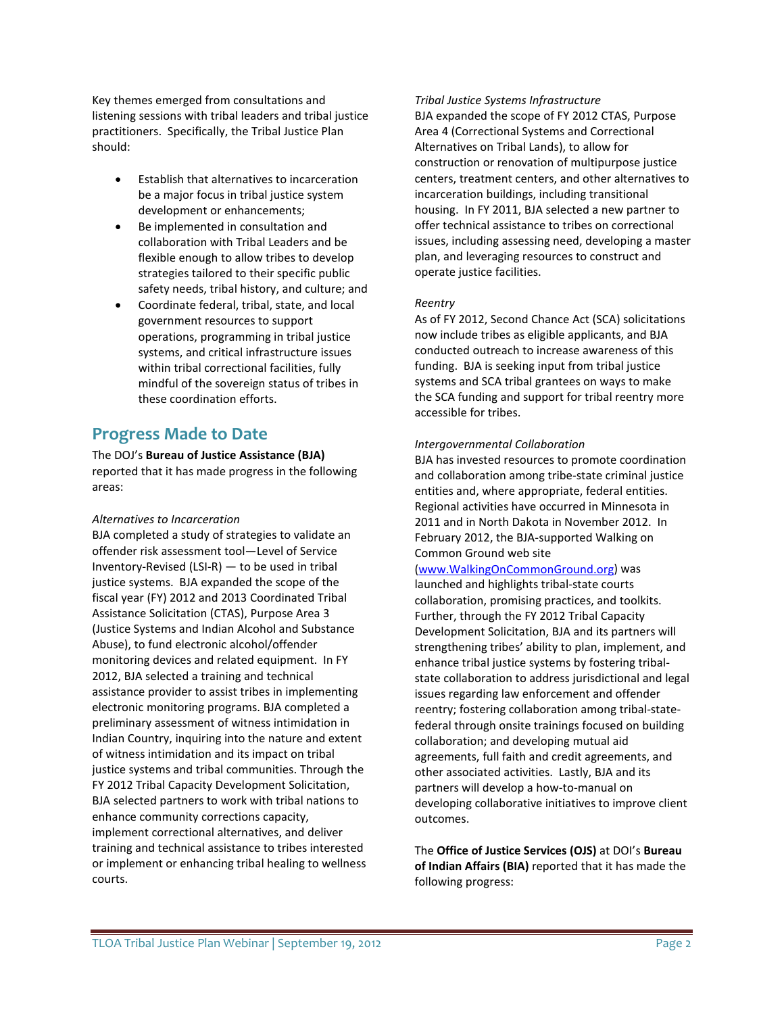Key themes emerged from consultations and listening sessions with tribal leaders and tribal justice practitioners. Specifically, the Tribal Justice Plan should:

- Establish that alternatives to incarceration be a major focus in tribal justice system development or enhancements;
- Be implemented in consultation and collaboration with Tribal Leaders and be flexible enough to allow tribes to develop strategies tailored to their specific public safety needs, tribal history, and culture; and
- Coordinate federal, tribal, state, and local government resources to support operations, programming in tribal justice systems, and critical infrastructure issues within tribal correctional facilities, fully mindful of the sovereign status of tribes in these coordination efforts.

# **Progress Made to Date**

The DOJ's **Bureau of Justice Assistance (BJA)** reported that it has made progress in the following areas:

### *Alternatives to Incarceration*

BJA completed a study of strategies to validate an offender risk assessment tool—Level of Service Inventory-Revised (LSI-R) — to be used in tribal justice systems. BJA expanded the scope of the fiscal year (FY) 2012 and 2013 Coordinated Tribal Assistance Solicitation (CTAS), Purpose Area 3 (Justice Systems and Indian Alcohol and Substance Abuse), to fund electronic alcohol/offender monitoring devices and related equipment. In FY 2012, BJA selected a training and technical assistance provider to assist tribes in implementing electronic monitoring programs. BJA completed a preliminary assessment of witness intimidation in Indian Country, inquiring into the nature and extent of witness intimidation and its impact on tribal justice systems and tribal communities. Through the FY 2012 Tribal Capacity Development Solicitation, BJA selected partners to work with tribal nations to enhance community corrections capacity, implement correctional alternatives, and deliver training and technical assistance to tribes interested or implement or enhancing tribal healing to wellness courts.

#### *Tribal Justice Systems Infrastructure*

BJA expanded the scope of FY 2012 CTAS, Purpose Area 4 (Correctional Systems and Correctional Alternatives on Tribal Lands), to allow for construction or renovation of multipurpose justice centers, treatment centers, and other alternatives to incarceration buildings, including transitional housing. In FY 2011, BJA selected a new partner to offer technical assistance to tribes on correctional issues, including assessing need, developing a master plan, and leveraging resources to construct and operate justice facilities.

### *Reentry*

As of FY 2012, Second Chance Act (SCA) solicitations now include tribes as eligible applicants, and BJA conducted outreach to increase awareness of this funding. BJA is seeking input from tribal justice systems and SCA tribal grantees on ways to make the SCA funding and support for tribal reentry more accessible for tribes.

### *Intergovernmental Collaboration*

BJA has invested resources to promote coordination and collaboration among tribe-state criminal justice entities and, where appropriate, federal entities. Regional activities have occurred in Minnesota in 2011 and in North Dakota in November 2012. In February 2012, the BJA-supported Walking on Common Ground web site

# [\(www.WalkingOnCommonGround.org\)](http://www.walkingoncommonground.org/) was

launched and highlights tribal-state courts collaboration, promising practices, and toolkits. Further, through the FY 2012 Tribal Capacity Development Solicitation, BJA and its partners will strengthening tribes' ability to plan, implement, and enhance tribal justice systems by fostering tribalstate collaboration to address jurisdictional and legal issues regarding law enforcement and offender reentry; fostering collaboration among tribal-statefederal through onsite trainings focused on building collaboration; and developing mutual aid agreements, full faith and credit agreements, and other associated activities. Lastly, BJA and its partners will develop a how-to-manual on developing collaborative initiatives to improve client outcomes.

The **Office of Justice Services (OJS)** at DOI's **Bureau of Indian Affairs (BIA)** reported that it has made the following progress: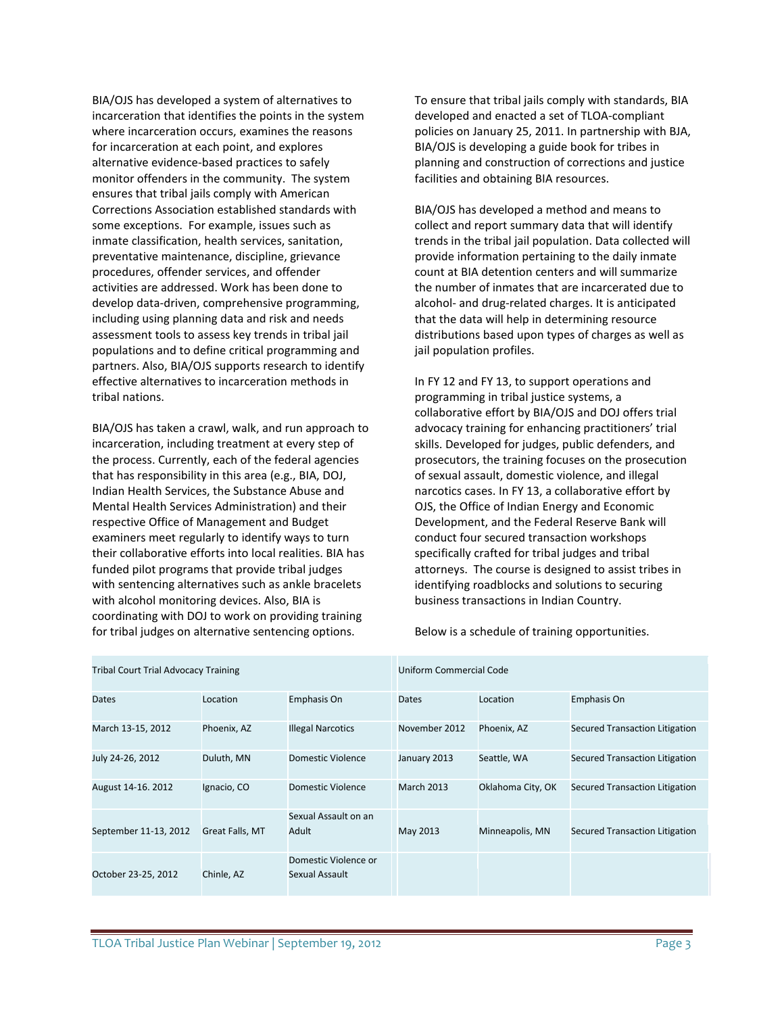BIA/OJS has developed a system of alternatives to incarceration that identifies the points in the system where incarceration occurs, examines the reasons for incarceration at each point, and explores alternative evidence-based practices to safely monitor offenders in the community. The system ensures that tribal jails comply with American Corrections Association established standards with some exceptions. For example, issues such as inmate classification, health services, sanitation, preventative maintenance, discipline, grievance procedures, offender services, and offender activities are addressed. Work has been done to develop data-driven, comprehensive programming, including using planning data and risk and needs assessment tools to assess key trends in tribal jail populations and to define critical programming and partners. Also, BIA/OJS supports research to identify effective alternatives to incarceration methods in tribal nations.

BIA/OJS has taken a crawl, walk, and run approach to incarceration, including treatment at every step of the process. Currently, each of the federal agencies that has responsibility in this area (e.g., BIA, DOJ, Indian Health Services, the Substance Abuse and Mental Health Services Administration) and their respective Office of Management and Budget examiners meet regularly to identify ways to turn their collaborative efforts into local realities. BIA has funded pilot programs that provide tribal judges with sentencing alternatives such as ankle bracelets with alcohol monitoring devices. Also, BIA is coordinating with DOJ to work on providing training for tribal judges on alternative sentencing options.

To ensure that tribal jails comply with standards, BIA developed and enacted a set of TLOA-compliant policies on January 25, 2011. In partnership with BJA, BIA/OJS is developing a guide book for tribes in planning and construction of corrections and justice facilities and obtaining BIA resources.

BIA/OJS has developed a method and means to collect and report summary data that will identify trends in the tribal jail population. Data collected will provide information pertaining to the daily inmate count at BIA detention centers and will summarize the number of inmates that are incarcerated due to alcohol- and drug-related charges. It is anticipated that the data will help in determining resource distributions based upon types of charges as well as jail population profiles.

In FY 12 and FY 13, to support operations and programming in tribal justice systems, a collaborative effort by BIA/OJS and DOJ offers trial advocacy training for enhancing practitioners' trial skills. Developed for judges, public defenders, and prosecutors, the training focuses on the prosecution of sexual assault, domestic violence, and illegal narcotics cases. In FY 13, a collaborative effort by OJS, the Office of Indian Energy and Economic Development, and the Federal Reserve Bank will conduct four secured transaction workshops specifically crafted for tribal judges and tribal attorneys. The course is designed to assist tribes in identifying roadblocks and solutions to securing business transactions in Indian Country.

Below is a schedule of training opportunities.

| <b>Tribal Court Trial Advocacy Training</b> |                 |                                        | <b>Uniform Commercial Code</b> |                   |                                       |
|---------------------------------------------|-----------------|----------------------------------------|--------------------------------|-------------------|---------------------------------------|
| <b>Dates</b>                                | Location        | Emphasis On                            | <b>Dates</b>                   | Location          | Emphasis On                           |
| March 13-15, 2012                           | Phoenix, AZ     | <b>Illegal Narcotics</b>               | November 2012                  | Phoenix, AZ       | <b>Secured Transaction Litigation</b> |
| July 24-26, 2012                            | Duluth, MN      | Domestic Violence                      | January 2013                   | Seattle, WA       | Secured Transaction Litigation        |
| August 14-16, 2012                          | Ignacio, CO     | Domestic Violence                      | <b>March 2013</b>              | Oklahoma City, OK | Secured Transaction Litigation        |
| September 11-13, 2012                       | Great Falls, MT | Sexual Assault on an<br>Adult          | May 2013                       | Minneapolis, MN   | Secured Transaction Litigation        |
| October 23-25, 2012                         | Chinle, AZ      | Domestic Violence or<br>Sexual Assault |                                |                   |                                       |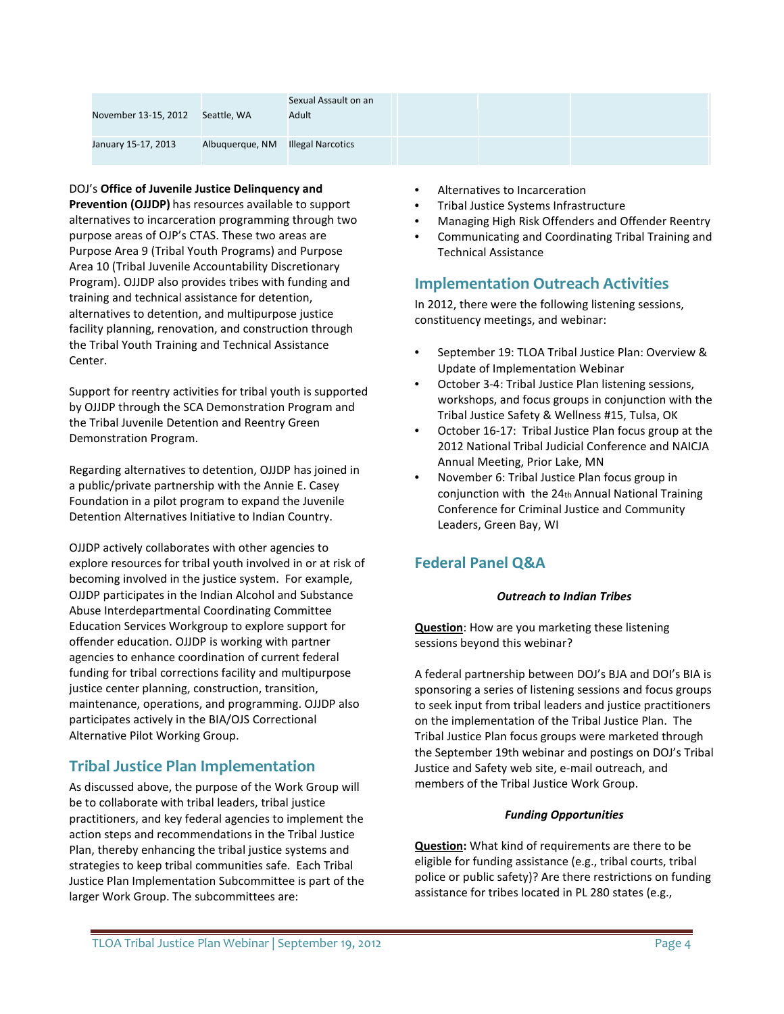| November 13-15, 2012 | Seattle, WA     | Sexual Assault on an<br>Adult |  |  |
|----------------------|-----------------|-------------------------------|--|--|
| January 15-17, 2013  | Albuquerque, NM | <b>Illegal Narcotics</b>      |  |  |

#### DOJ's **Office of Juvenile Justice Delinquency and**

**Prevention (OJJDP)** has resources available to support alternatives to incarceration programming through two purpose areas of OJP's CTAS. These two areas are Purpose Area 9 (Tribal Youth Programs) and Purpose Area 10 (Tribal Juvenile Accountability Discretionary Program). OJJDP also provides tribes with funding and training and technical assistance for detention, alternatives to detention, and multipurpose justice facility planning, renovation, and construction through the Tribal Youth Training and Technical Assistance Center.

Support for reentry activities for tribal youth is supported by OJJDP through the SCA Demonstration Program and the Tribal Juvenile Detention and Reentry Green Demonstration Program.

Regarding alternatives to detention, OJJDP has joined in a public/private partnership with the Annie E. Casey Foundation in a pilot program to expand the Juvenile Detention Alternatives Initiative to Indian Country.

OJJDP actively collaborates with other agencies to explore resources for tribal youth involved in or at risk of becoming involved in the justice system. For example, OJJDP participates in the Indian Alcohol and Substance Abuse Interdepartmental Coordinating Committee Education Services Workgroup to explore support for offender education. OJJDP is working with partner agencies to enhance coordination of current federal funding for tribal corrections facility and multipurpose justice center planning, construction, transition, maintenance, operations, and programming. OJJDP also participates actively in the BIA/OJS Correctional Alternative Pilot Working Group.

### **Tribal Justice Plan Implementation**

As discussed above, the purpose of the Work Group will be to collaborate with tribal leaders, tribal justice practitioners, and key federal agencies to implement the action steps and recommendations in the Tribal Justice Plan, thereby enhancing the tribal justice systems and strategies to keep tribal communities safe. Each Tribal Justice Plan Implementation Subcommittee is part of the larger Work Group. The subcommittees are:

- Alternatives to Incarceration
- Tribal Justice Systems Infrastructure
- Managing High Risk Offenders and Offender Reentry
- Communicating and Coordinating Tribal Training and Technical Assistance

# **Implementation Outreach Activities**

In 2012, there were the following listening sessions, constituency meetings, and webinar:

- September 19: TLOA Tribal Justice Plan: Overview & Update of Implementation Webinar
- October 3-4: Tribal Justice Plan listening sessions, workshops, and focus groups in conjunction with the Tribal Justice Safety & Wellness #15, Tulsa, OK
- October 16-17: Tribal Justice Plan focus group at the 2012 National Tribal Judicial Conference and NAICJA Annual Meeting, Prior Lake, MN
- November 6: Tribal Justice Plan focus group in conjunction with the 24th Annual National Training Conference for Criminal Justice and Community Leaders, Green Bay, WI

# **Federal Panel Q&A**

### *Outreach to Indian Tribes*

**Question**: How are you marketing these listening sessions beyond this webinar?

A federal partnership between DOJ's BJA and DOI's BIA is sponsoring a series of listening sessions and focus groups to seek input from tribal leaders and justice practitioners on the implementation of the Tribal Justice Plan. The Tribal Justice Plan focus groups were marketed through the September 19th webinar and postings on DOJ's Tribal Justice and Safety web site, e-mail outreach, and members of the Tribal Justice Work Group.

### *Funding Opportunities*

**Question:** What kind of requirements are there to be eligible for funding assistance (e.g., tribal courts, tribal police or public safety)? Are there restrictions on funding assistance for tribes located in PL 280 states (e.g.,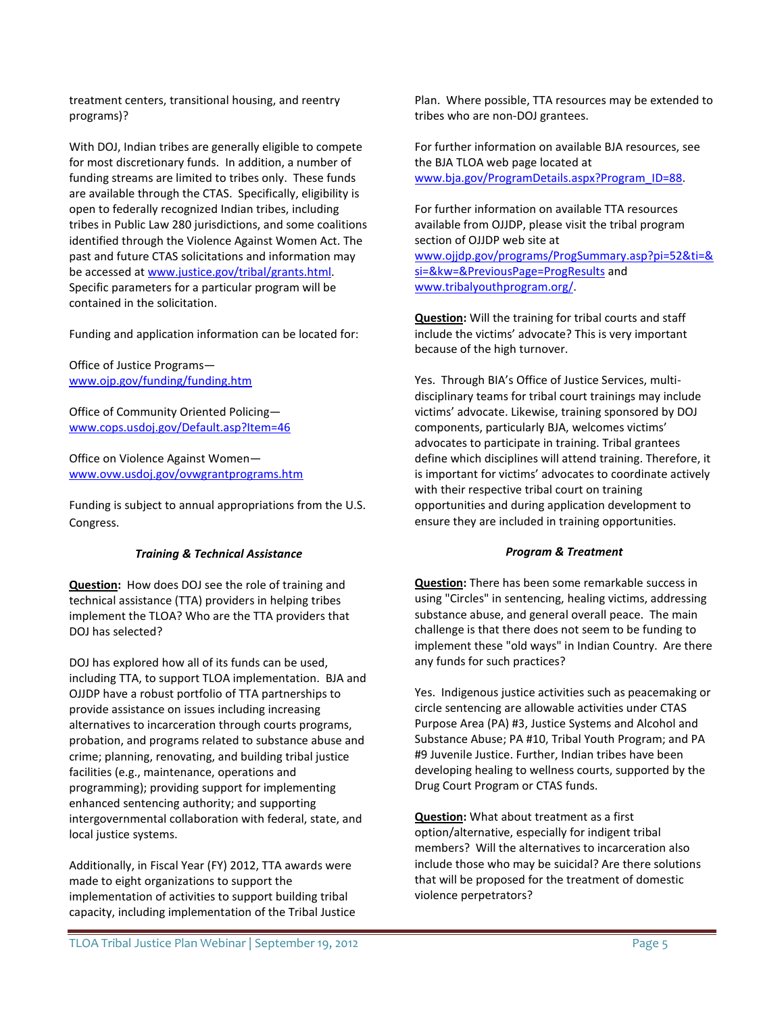treatment centers, transitional housing, and reentry programs)?

With DOJ, Indian tribes are generally eligible to compete for most discretionary funds. In addition, a number of funding streams are limited to tribes only. These funds are available through the CTAS. Specifically, eligibility is open to federally recognized Indian tribes, including tribes in Public Law 280 jurisdictions, and some coalitions identified through the Violence Against Women Act. The past and future CTAS solicitations and information may be accessed a[t www.justice.gov/tribal/grants.html.](http://www.justice.gov/tribal/grants.html) Specific parameters for a particular program will be contained in the solicitation.

Funding and application information can be located for:

Office of Justice Programs [www.ojp.gov/funding/funding.htm](http://www.ojp.usdoj.gov/funding/funding.htm)

Office of Community Oriented Policing [www.cops.usdoj.gov/Default.asp?Item=46](http://www.cops.usdoj.gov/Default.asp?Item=46)

Office on Violence Against Women [www.ovw.usdoj.gov/ovwgrantprograms.htm](http://www.ovw.usdoj.gov/ovwgrantprograms.htm)

Funding is subject to annual appropriations from the U.S. Congress.

### *Training & Technical Assistance*

**Question:** How does DOJ see the role of training and technical assistance (TTA) providers in helping tribes implement the TLOA? Who are the TTA providers that DOJ has selected?

DOJ has explored how all of its funds can be used, including TTA, to support TLOA implementation. BJA and OJJDP have a robust portfolio of TTA partnerships to provide assistance on issues including increasing alternatives to incarceration through courts programs, probation, and programs related to substance abuse and crime; planning, renovating, and building tribal justice facilities (e.g., maintenance, operations and programming); providing support for implementing enhanced sentencing authority; and supporting intergovernmental collaboration with federal, state, and local justice systems.

Additionally, in Fiscal Year (FY) 2012, TTA awards were made to eight organizations to support the implementation of activities to support building tribal capacity, including implementation of the Tribal Justice

Plan. Where possible, TTA resources may be extended to tribes who are non-DOJ grantees.

For further information on available BJA resources, see the BJA TLOA web page located at [www.bja.gov/ProgramDetails.aspx?Program\\_ID=88.](https://www.bja.gov/ProgramDetails.aspx?Program_ID=88)

For further information on available TTA resources available from OJJDP, please visit the tribal program section of OJJDP web site at [www.ojjdp.gov/programs/ProgSummary.asp?pi=52&ti=&](http://www.ojjdp.gov/programs/ProgSummary.asp?pi=52&ti=&si=&kw=&PreviousPage=ProgResults) [si=&kw=&PreviousPage=ProgResults](http://www.ojjdp.gov/programs/ProgSummary.asp?pi=52&ti=&si=&kw=&PreviousPage=ProgResults) and [www.tribalyouthprogram.org/.](http://www.tribalyouthprogram.org/)

**Question:** Will the training for tribal courts and staff include the victims' advocate? This is very important because of the high turnover.

Yes. Through BIA's Office of Justice Services, multidisciplinary teams for tribal court trainings may include victims' advocate. Likewise, training sponsored by DOJ components, particularly BJA, welcomes victims' advocates to participate in training. Tribal grantees define which disciplines will attend training. Therefore, it is important for victims' advocates to coordinate actively with their respective tribal court on training opportunities and during application development to ensure they are included in training opportunities.

#### *Program & Treatment*

**Question:** There has been some remarkable success in using "Circles" in sentencing, healing victims, addressing substance abuse, and general overall peace. The main challenge is that there does not seem to be funding to implement these "old ways" in Indian Country. Are there any funds for such practices?

Yes. Indigenous justice activities such as peacemaking or circle sentencing are allowable activities under CTAS Purpose Area (PA) #3, Justice Systems and Alcohol and Substance Abuse; PA #10, Tribal Youth Program; and PA #9 Juvenile Justice. Further, Indian tribes have been developing healing to wellness courts, supported by the Drug Court Program or CTAS funds.

**Question:** What about treatment as a first option/alternative, especially for indigent tribal members? Will the alternatives to incarceration also include those who may be suicidal? Are there solutions that will be proposed for the treatment of domestic violence perpetrators?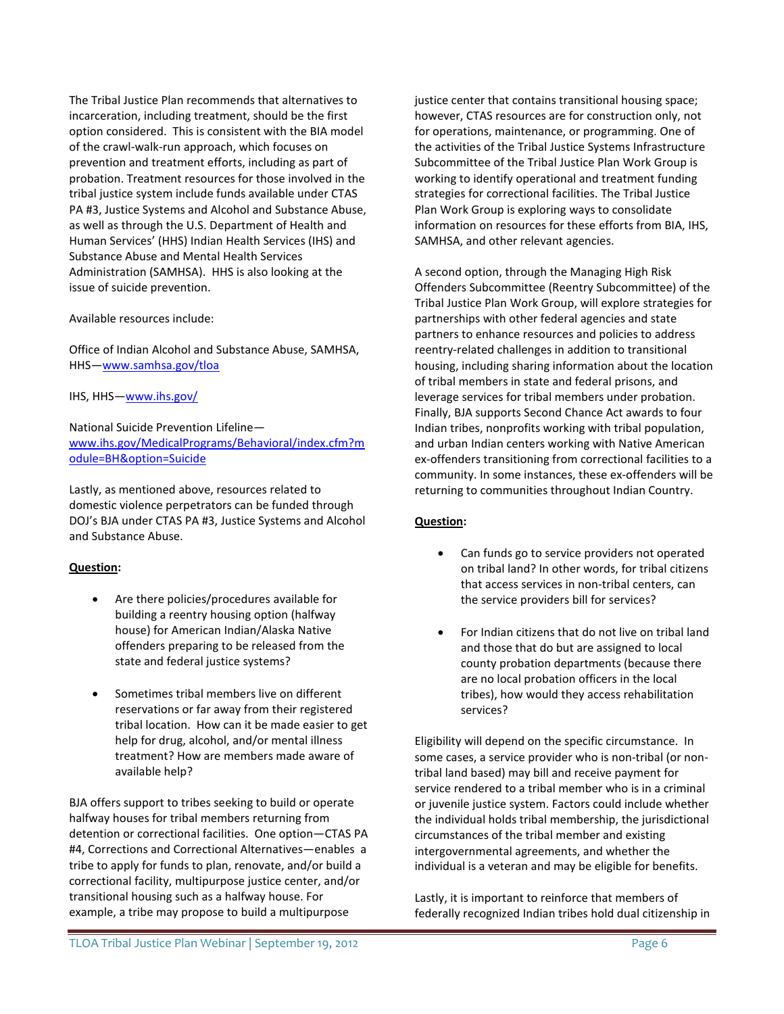The Tribal Justice Plan recommends that alternatives to incarceration, including treatment, should be the first option considered. This is consistent with the BIA model of the crawl-walk-run approach, which focuses on prevention and treatment efforts, including as part of probation. Treatment resources for those involved in the tribal justice system include funds available under CTAS PA #3, Justice Systems and Alcohol and Substance Abuse, as well as through the U.S. Department of Health and Human Services' (HHS) Indian Health Services (IHS) and Substance Abuse and Mental Health Services Administration (SAMHSA). HHS is also looking at the issue of suicide prevention.

Available resources include:

Office of Indian Alcohol and Substance Abuse, SAMHSA, HHS[—www.samhsa.gov/tloa](http://www.samhsa.gov/tloa)

IHS, HHS[—www.ihs.gov/](http://www.ihs.gov/)

National Suicide Prevention Lifeline [www.ihs.gov/MedicalPrograms/Behavioral/index.cfm?m](http://www.ihs.gov/MedicalPrograms/Behavioral/index.cfm?module=BH&option=Suicide) [odule=BH&option=Suicide](http://www.ihs.gov/MedicalPrograms/Behavioral/index.cfm?module=BH&option=Suicide)

Lastly, as mentioned above, resources related to domestic violence perpetrators can be funded through DOJ's BJA under CTAS PA #3, Justice Systems and Alcohol and Substance Abuse.

### **Question:**

- Are there policies/procedures available for building a reentry housing option (halfway house) for American Indian/Alaska Native offenders preparing to be released from the state and federal justice systems?
- Sometimes tribal members live on different reservations or far away from their registered tribal location. How can it be made easier to get help for drug, alcohol, and/or mental illness treatment? How are members made aware of available help?

BJA offers support to tribes seeking to build or operate halfway houses for tribal members returning from detention or correctional facilities. One option—CTAS PA #4, Corrections and Correctional Alternatives—enables a tribe to apply for funds to plan, renovate, and/or build a correctional facility, multipurpose justice center, and/or transitional housing such as a halfway house. For example, a tribe may propose to build a multipurpose

justice center that contains transitional housing space; however, CTAS resources are for construction only, not for operations, maintenance, or programming. One of the activities of the Tribal Justice Systems Infrastructure Subcommittee of the Tribal Justice Plan Work Group is working to identify operational and treatment funding strategies for correctional facilities. The Tribal Justice Plan Work Group is exploring ways to consolidate information on resources for these efforts from BIA, IHS, SAMHSA, and other relevant agencies.

A second option, through the Managing High Risk Offenders Subcommittee (Reentry Subcommittee) of the Tribal Justice Plan Work Group, will explore strategies for partnerships with other federal agencies and state partners to enhance resources and policies to address reentry-related challenges in addition to transitional housing, including sharing information about the location of tribal members in state and federal prisons, and leverage services for tribal members under probation. Finally, BJA supports Second Chance Act awards to four Indian tribes, nonprofits working with tribal population, and urban Indian centers working with Native American ex-offenders transitioning from correctional facilities to a community. In some instances, these ex-offenders will be returning to communities throughout Indian Country.

### **Question:**

- Can funds go to service providers not operated on tribal land? In other words, for tribal citizens that access services in non-tribal centers, can the service providers bill for services?
- For Indian citizens that do not live on tribal land and those that do but are assigned to local county probation departments (because there are no local probation officers in the local tribes), how would they access rehabilitation services?

Eligibility will depend on the specific circumstance. In some cases, a service provider who is non-tribal (or nontribal land based) may bill and receive payment for service rendered to a tribal member who is in a criminal or juvenile justice system. Factors could include whether the individual holds tribal membership, the jurisdictional circumstances of the tribal member and existing intergovernmental agreements, and whether the individual is a veteran and may be eligible for benefits.

Lastly, it is important to reinforce that members of federally recognized Indian tribes hold dual citizenship in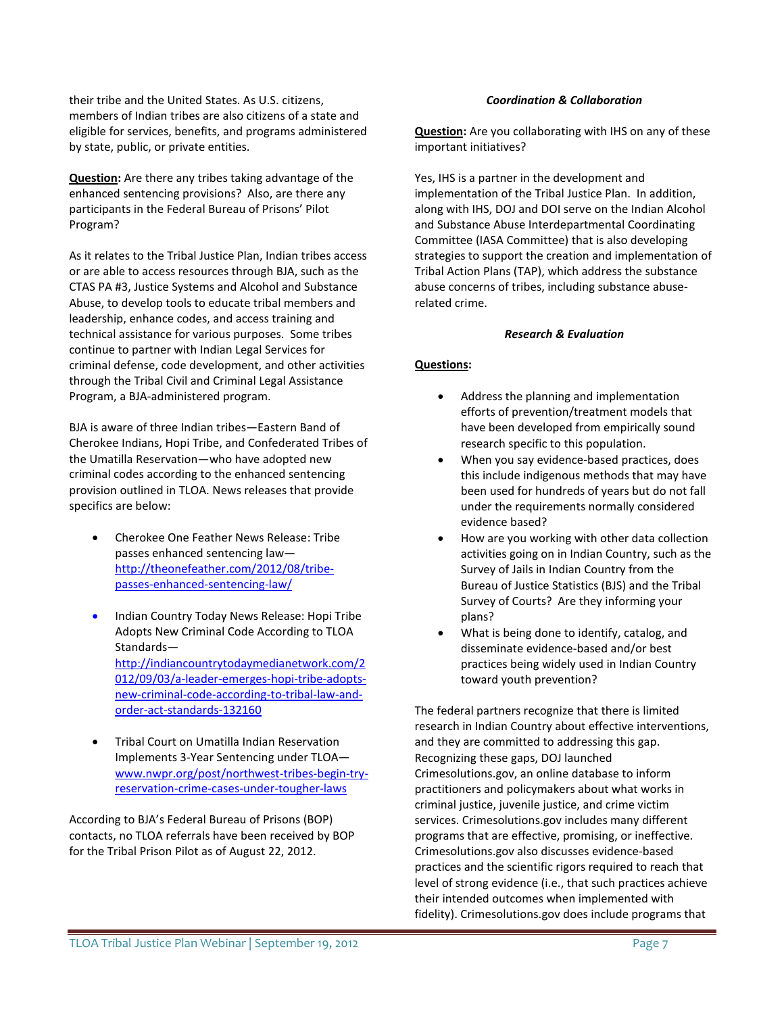their tribe and the United States. As U.S. citizens, members of Indian tribes are also citizens of a state and eligible for services, benefits, and programs administered by state, public, or private entities.

**Question:** Are there any tribes taking advantage of the enhanced sentencing provisions? Also, are there any participants in the Federal Bureau of Prisons' Pilot Program?

As it relates to the Tribal Justice Plan, Indian tribes access or are able to access resources through BJA, such as the CTAS PA #3, Justice Systems and Alcohol and Substance Abuse, to develop tools to educate tribal members and leadership, enhance codes, and access training and technical assistance for various purposes. Some tribes continue to partner with Indian Legal Services for criminal defense, code development, and other activities through the Tribal Civil and Criminal Legal Assistance Program, a BJA-administered program.

BJA is aware of three Indian tribes—Eastern Band of Cherokee Indians, Hopi Tribe, and Confederated Tribes of the Umatilla Reservation—who have adopted new criminal codes according to the enhanced sentencing provision outlined in TLOA. News releases that provide specifics are below:

- Cherokee One Feather News Release: Tribe passes enhanced sentencing law [http://theonefeather.com/2012/08/tribe](http://theonefeather.com/2012/08/tribe-passes-enhanced-sentencing-law/)[passes-enhanced-sentencing-law/](http://theonefeather.com/2012/08/tribe-passes-enhanced-sentencing-law/)
- Indian Country Today News Release: Hopi Tribe Adopts New Criminal Code According to TLOA Standards [http://indiancountrytodaymedianetwork.com/2](http://indiancountrytodaymedianetwork.com/2012/09/03/a-leader-emerges-hopi-tribe-adopts-new-criminal-code-according-to-tribal-law-and-order-act-standards-132160) [012/09/03/a-leader-emerges-hopi-tribe-adopts](http://indiancountrytodaymedianetwork.com/2012/09/03/a-leader-emerges-hopi-tribe-adopts-new-criminal-code-according-to-tribal-law-and-order-act-standards-132160)[new-criminal-code-according-to-tribal-law-and](http://indiancountrytodaymedianetwork.com/2012/09/03/a-leader-emerges-hopi-tribe-adopts-new-criminal-code-according-to-tribal-law-and-order-act-standards-132160)[order-act-standards-132160](http://indiancountrytodaymedianetwork.com/2012/09/03/a-leader-emerges-hopi-tribe-adopts-new-criminal-code-according-to-tribal-law-and-order-act-standards-132160)
- Tribal Court on Umatilla Indian Reservation Implements 3-Year Sentencing under TLOA [www.nwpr.org/post/northwest-tribes-begin-try](http://www.nwpr.org/post/northwest-tribes-begin-try-reservation-crime-cases-under-tougher-laws)[reservation-crime-cases-under-tougher-laws](http://www.nwpr.org/post/northwest-tribes-begin-try-reservation-crime-cases-under-tougher-laws)

According to BJA's Federal Bureau of Prisons (BOP) contacts, no TLOA referrals have been received by BOP for the Tribal Prison Pilot as of August 22, 2012.

### *Coordination & Collaboration*

**Question:** Are you collaborating with IHS on any of these important initiatives?

Yes, IHS is a partner in the development and implementation of the Tribal Justice Plan. In addition, along with IHS, DOJ and DOI serve on the Indian Alcohol and Substance Abuse Interdepartmental Coordinating Committee (IASA Committee) that is also developing strategies to support the creation and implementation of Tribal Action Plans (TAP), which address the substance abuse concerns of tribes, including substance abuserelated crime.

#### *Research & Evaluation*

### **Questions:**

- Address the planning and implementation efforts of prevention/treatment models that have been developed from empirically sound research specific to this population.
- When you say evidence-based practices, does this include indigenous methods that may have been used for hundreds of years but do not fall under the requirements normally considered evidence based?
- How are you working with other data collection activities going on in Indian Country, such as the Survey of Jails in Indian Country from the Bureau of Justice Statistics (BJS) and the Tribal Survey of Courts? Are they informing your plans?
- What is being done to identify, catalog, and disseminate evidence-based and/or best practices being widely used in Indian Country toward youth prevention?

The federal partners recognize that there is limited research in Indian Country about effective interventions, and they are committed to addressing this gap. Recognizing these gaps, DOJ launched Crimesolutions.gov, an online database to inform practitioners and policymakers about what works in criminal justice, juvenile justice, and crime victim services. Crimesolutions.gov includes many different programs that are effective, promising, or ineffective. Crimesolutions.gov also discusses evidence-based practices and the scientific rigors required to reach that level of strong evidence (i.e., that such practices achieve their intended outcomes when implemented with fidelity). Crimesolutions.gov does include programs that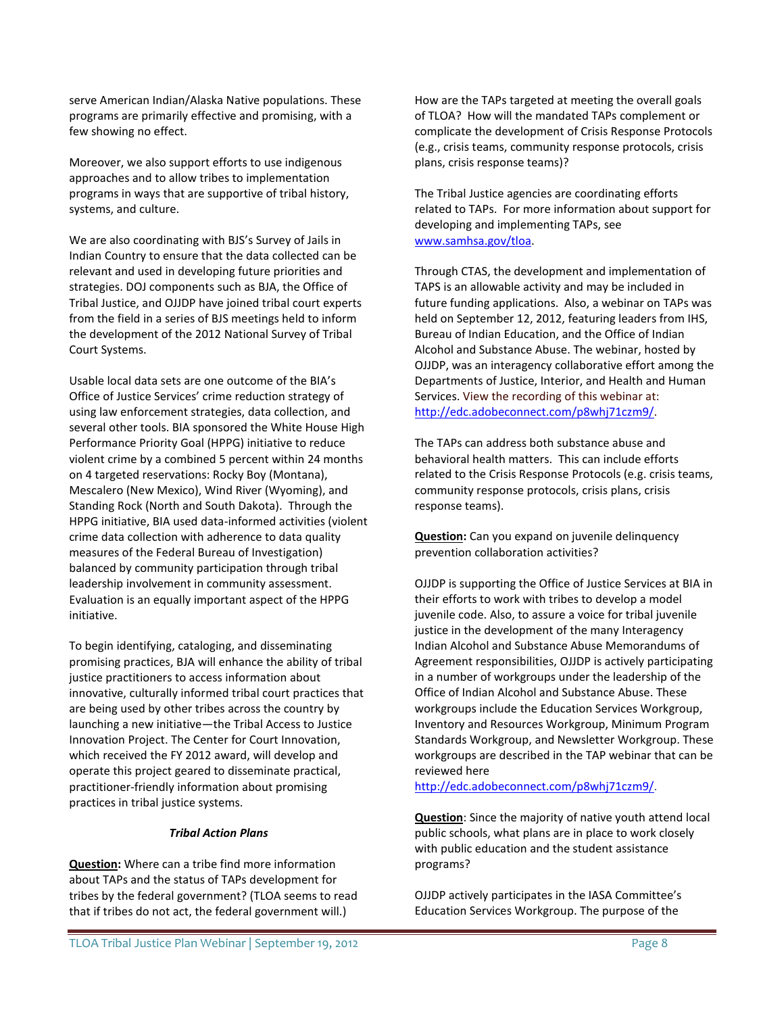serve American Indian/Alaska Native populations. These programs are primarily effective and promising, with a few showing no effect.

Moreover, we also support efforts to use indigenous approaches and to allow tribes to implementation programs in ways that are supportive of tribal history, systems, and culture.

We are also coordinating with BJS's Survey of Jails in Indian Country to ensure that the data collected can be relevant and used in developing future priorities and strategies. DOJ components such as BJA, the Office of Tribal Justice, and OJJDP have joined tribal court experts from the field in a series of BJS meetings held to inform the development of the 2012 National Survey of Tribal Court Systems.

Usable local data sets are one outcome of the BIA's Office of Justice Services' crime reduction strategy of using law enforcement strategies, data collection, and several other tools. BIA sponsored the White House High Performance Priority Goal (HPPG) initiative to reduce violent crime by a combined 5 percent within 24 months on 4 targeted reservations: Rocky Boy (Montana), Mescalero (New Mexico), Wind River (Wyoming), and Standing Rock (North and South Dakota). Through the HPPG initiative, BIA used data-informed activities (violent crime data collection with adherence to data quality measures of the Federal Bureau of Investigation) balanced by community participation through tribal leadership involvement in community assessment. Evaluation is an equally important aspect of the HPPG initiative.

To begin identifying, cataloging, and disseminating promising practices, BJA will enhance the ability of tribal justice practitioners to access information about innovative, culturally informed tribal court practices that are being used by other tribes across the country by launching a new initiative—the Tribal Access to Justice Innovation Project. The Center for Court Innovation, which received the FY 2012 award, will develop and operate this project geared to disseminate practical, practitioner-friendly information about promising practices in tribal justice systems.

#### *Tribal Action Plans*

**Question:** Where can a tribe find more information about TAPs and the status of TAPs development for tribes by the federal government? (TLOA seems to read that if tribes do not act, the federal government will.)

How are the TAPs targeted at meeting the overall goals of TLOA? How will the mandated TAPs complement or complicate the development of Crisis Response Protocols (e.g., crisis teams, community response protocols, crisis plans, crisis response teams)?

The Tribal Justice agencies are coordinating efforts related to TAPs. For more information about support for developing and implementing TAPs, see [www.samhsa.gov/tloa.](http://www.samhsa.gov/tloa)

Through CTAS, the development and implementation of TAPS is an allowable activity and may be included in future funding applications. Also, a webinar on TAPs was held on September 12, 2012, featuring leaders from IHS, Bureau of Indian Education, and the Office of Indian Alcohol and Substance Abuse. The webinar, hosted by OJJDP, was an interagency collaborative effort among the Departments of Justice, Interior, and Health and Human Services. View the recording of this webinar at: [http://edc.adobeconnect.com/p8whj71czm9/.](http://edc.adobeconnect.com/p8whj71czm9/)

The TAPs can address both substance abuse and behavioral health matters. This can include efforts related to the Crisis Response Protocols (e.g. crisis teams, community response protocols, crisis plans, crisis response teams).

**Question:** Can you expand on juvenile delinquency prevention collaboration activities?

OJJDP is supporting the Office of Justice Services at BIA in their efforts to work with tribes to develop a model juvenile code. Also, to assure a voice for tribal juvenile justice in the development of the many Interagency Indian Alcohol and Substance Abuse Memorandums of Agreement responsibilities, OJJDP is actively participating in a number of workgroups under the leadership of the Office of Indian Alcohol and Substance Abuse. These workgroups include the Education Services Workgroup, Inventory and Resources Workgroup, Minimum Program Standards Workgroup, and Newsletter Workgroup. These workgroups are described in the TAP webinar that can be reviewed here

[http://edc.adobeconnect.com/p8whj71czm9/.](http://edc.adobeconnect.com/p8whj71czm9/)

**Question**: Since the majority of native youth attend local public schools, what plans are in place to work closely with public education and the student assistance programs?

OJJDP actively participates in the IASA Committee's Education Services Workgroup. The purpose of the